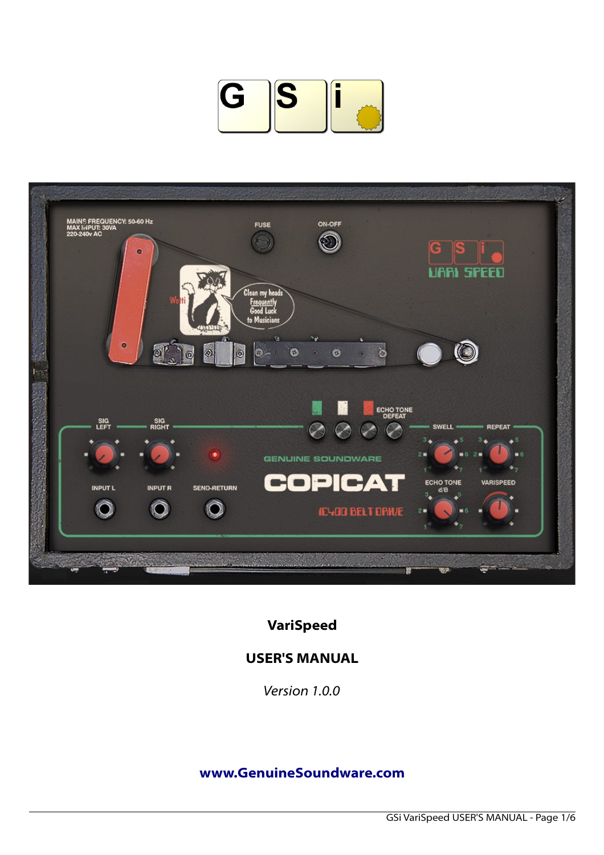



**VariSpeed**

# **USER'S MANUAL**

*Version 1.0.0*

## **[www.GenuineSoundware.com](http://www.GenuineSoundware.com/)**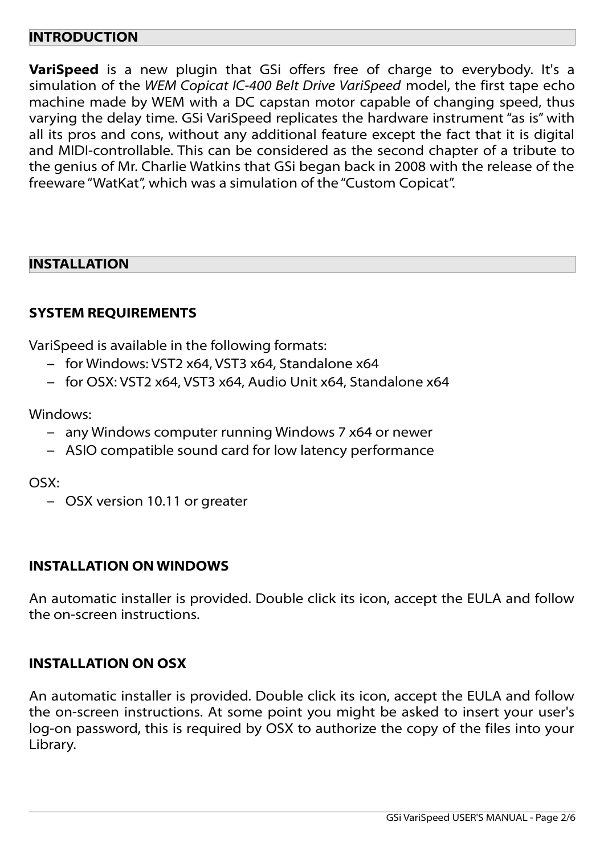#### **INTRODUCTION**

**VariSpeed** is a new plugin that GSi offers free of charge to everybody. It's a simulation of the *WEM Copicat IC-400 Belt Drive VariSpeed* model, the first tape echo machine made by WEM with a DC capstan motor capable of changing speed, thus varying the delay time. GSi VariSpeed replicates the hardware instrument "as is" with all its pros and cons, without any additional feature except the fact that it is digital and MIDI-controllable. This can be considered as the second chapter of a tribute to the genius of Mr. Charlie Watkins that GSi began back in 2008 with the release of the freeware "WatKat", which was a simulation of the "Custom Copicat".

## **INSTALLATION**

### **SYSTEM REQUIREMENTS**

VariSpeed is available in the following formats:

- for Windows: VST2 x64, VST3 x64, Standalone x64
- for OSX: VST2 x64, VST3 x64, Audio Unit x64, Standalone x64

Windows:

- any Windows computer running Windows 7 x64 or newer
- ASIO compatible sound card for low latency performance

OSX:

– OSX version 10.11 or greater

#### **INSTALLATION ON WINDOWS**

An automatic installer is provided. Double click its icon, accept the EULA and follow the on-screen instructions.

## **INSTALLATION ON OSX**

An automatic installer is provided. Double click its icon, accept the EULA and follow the on-screen instructions. At some point you might be asked to insert your user's log-on password, this is required by OSX to authorize the copy of the files into your Library.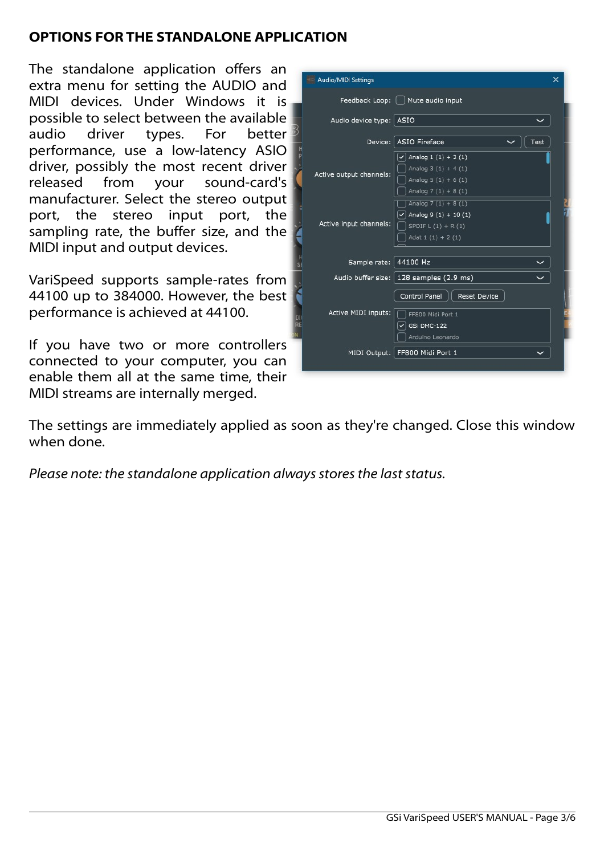## **OPTIONS FOR THE STANDALONE APPLICATION**

The standalone application offers an extra menu for setting the AUDIO and MIDI devices. Under Windows it is possible to select between the available audio driver types. For better performance, use a low-latency ASIO driver, possibly the most recent driver released from your sound-card's manufacturer. Select the stereo output port, the stereo input port, the sampling rate, the buffer size, and the MIDI input and output devices.

VariSpeed supports sample-rates from 44100 up to 384000. However, the best performance is achieved at 44100.

If you have two or more controllers connected to your computer, you can enable them all at the same time, their MIDI streams are internally merged.

| Audio/MIDI Settings     |                                                                                                   | × |
|-------------------------|---------------------------------------------------------------------------------------------------|---|
|                         | Feedback Loop:   Mute audio input                                                                 |   |
| Audio device type: ASIO |                                                                                                   |   |
|                         | Device: ASIO Fireface<br>Test                                                                     |   |
| Active output channels: | Analog $1(1) + 2(1)$<br>✓<br>Analog $3(1) + 4(1)$<br>Analog $5(1) + 6(1)$<br>Analog $7(1) + 8(1)$ |   |
| Active input channels:  | Analog $7(1) + 8(1)$<br>Analog $9(1) + 10(1)$<br>SPDIF $L(1) + R(1)$<br>Adat $1(1) + 2(1)$        |   |
| Sample rate: 44100 Hz   |                                                                                                   |   |
|                         | Audio buffer size:   128 samples (2.9 ms)                                                         |   |
| Active MIDI inputs:     | Control Panel<br><b>Reset Device</b><br>FF800 Midi Port 1<br>GSi DMC-122<br>Arduino Leonardo      |   |
|                         | MIDI Output: FF800 Midi Port 1                                                                    |   |
|                         |                                                                                                   |   |

The settings are immediately applied as soon as they're changed. Close this window when done.

*Please note: the standalone application always stores the last status.*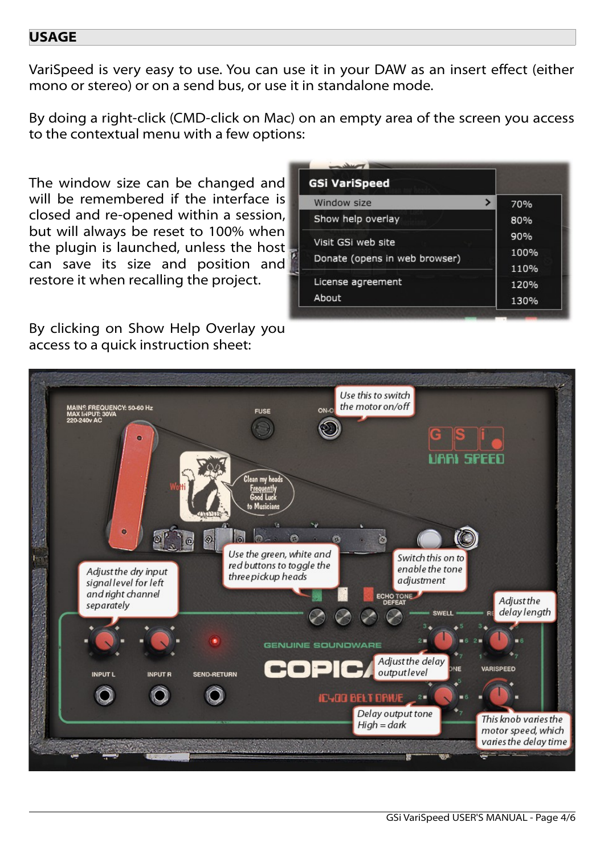#### **USAGE**

VariSpeed is very easy to use. You can use it in your DAW as an insert effect (either mono or stereo) or on a send bus, or use it in standalone mode.

By doing a right-click (CMD-click on Mac) on an empty area of the screen you access to the contextual menu with a few options:

The window size can be changed and will be remembered if the interface is closed and re-opened within a session, but will always be reset to 100% when the plugin is launched, unless the host can save its size and position and restore it when recalling the project.

By clicking on Show Help Overlay you access to a quick instruction sheet:

| <b>GSi VariSpeed</b>          |      |
|-------------------------------|------|
| Window size<br>>              | 70%  |
| Show help overlay             | 80%  |
| Visit GSi web site            | 90%  |
| Donate (opens in web browser) | 100% |
|                               | 110% |
| License agreement             | 120% |
| About                         | 130% |

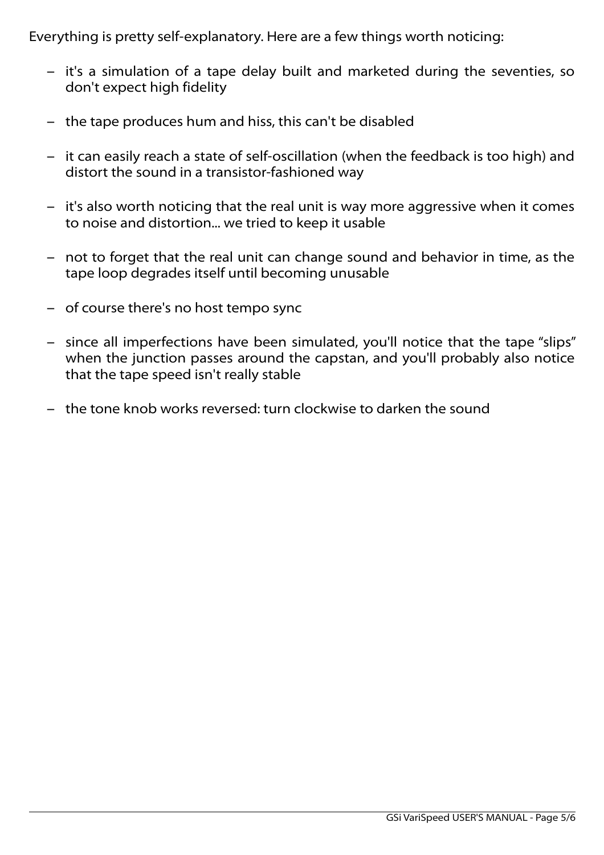Everything is pretty self-explanatory. Here are a few things worth noticing:

- it's a simulation of a tape delay built and marketed during the seventies, so don't expect high fidelity
- the tape produces hum and hiss, this can't be disabled
- it can easily reach a state of self-oscillation (when the feedback is too high) and distort the sound in a transistor-fashioned way
- it's also worth noticing that the real unit is way more aggressive when it comes to noise and distortion... we tried to keep it usable
- not to forget that the real unit can change sound and behavior in time, as the tape loop degrades itself until becoming unusable
- of course there's no host tempo sync
- since all imperfections have been simulated, you'll notice that the tape "slips" when the junction passes around the capstan, and you'll probably also notice that the tape speed isn't really stable
- the tone knob works reversed: turn clockwise to darken the sound